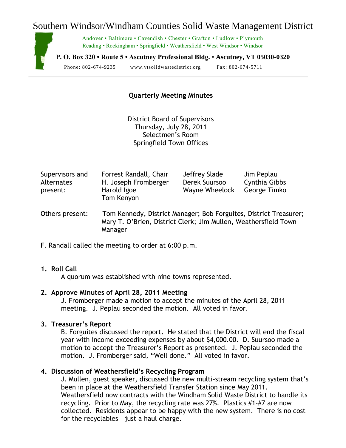# Southern Windsor/Windham Counties Solid Waste Management District



Andover • Baltimore • Cavendish • Chester • Grafton • Ludlow • Plymouth Reading • Rockingham • Springfield • Weathersfield • West Windsor • Windsor

**P. O. Box 320 • Route 5 • Ascutney Professional Bldg.** • **Ascutney, VT 05030-0320**

Phone: 802-674-9235 www.vtsolidwastedistrict.org Fax: 802-674-5711

## **Quarterly Meeting Minutes**

District Board of Supervisors Thursday, July 28, 2011 Selectmen's Room Springfield Town Offices

| Supervisors and<br><b>Alternates</b><br>present: | Forrest Randall, Chair<br>H. Joseph Fromberger<br>Harold Igoe<br>Tom Kenyon | Jeffrey Slade<br>Derek Suursoo<br><b>Wayne Wheelock</b> | Jim Peplau<br>Cynthia Gibbs<br>George Timko |
|--------------------------------------------------|-----------------------------------------------------------------------------|---------------------------------------------------------|---------------------------------------------|
| Others present:                                  | Tom Kennedy, District Manager; Bob Forguites, District Treasurer;           |                                                         |                                             |

Mary T. O'Brien, District Clerk; Jim Mullen, Weathersfield Town Manager

F. Randall called the meeting to order at 6:00 p.m.

## **1. Roll Call**

A quorum was established with nine towns represented.

#### **2. Approve Minutes of April 28, 2011 Meeting**

J. Fromberger made a motion to accept the minutes of the April 28, 2011 meeting. J. Peplau seconded the motion. All voted in favor.

#### **3. Treasurer's Report**

B. Forguites discussed the report. He stated that the District will end the fiscal year with income exceeding expenses by about \$4,000.00. D. Suursoo made a motion to accept the Treasurer's Report as presented. J. Peplau seconded the motion. J. Fromberger said, "Well done." All voted in favor.

### **4. Discussion of Weathersfield's Recycling Program**

J. Mullen, guest speaker, discussed the new multi-stream recycling system that's been in place at the Weathersfield Transfer Station since May 2011. Weathersfield now contracts with the Windham Solid Waste District to handle its recycling. Prior to May, the recycling rate was 27%. Plastics #1-#7 are now collected. Residents appear to be happy with the new system. There is no cost for the recyclables – just a haul charge.